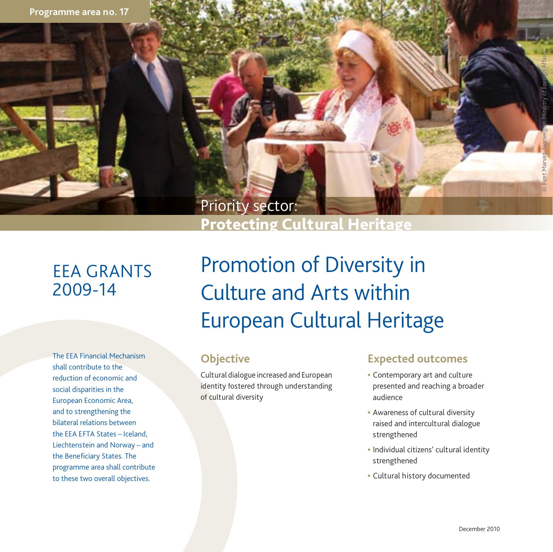

# EEA GRANTS<br>2009-14

shall contribute to the<br>
reduction of economic and<br>
social disparities in the **interpretional social disparities** in the interpretional disparities in the interpretional of reduction of economic and social disparities in the European Economic Area, and to strengthening the bilateral relations between the EEA E FTA States – Iceland, Liechtenstein and Norway – and the Bene ficiary States. The programme area shall contribute to these two overall objectives. The EEA Financial Mechanism **and Comes Comes Comes**<br>shall contribute to the

## Promotion of Diversity in Culture and Arts within European Cultural Heritage

### **Objective**

of cultural diversity Cultural dialogue increased and European

- Contemporary art and culture presented and reaching a broader audience
- Awareness of cultural diversity raised and intercultural dialogue strengthened
- Individual citizens' cultural identity strengthened
- Cultural history documented